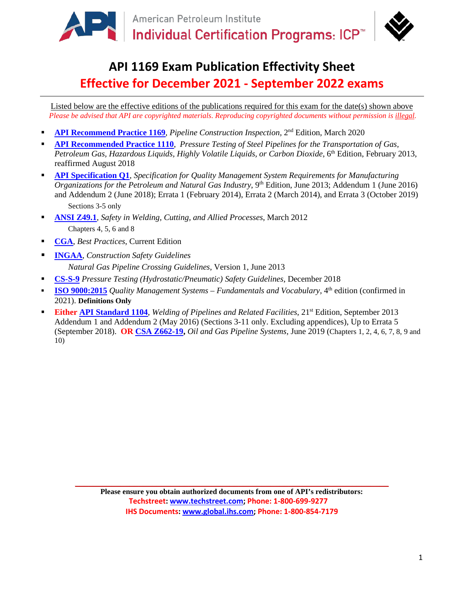

# **API 1169 Exam Publication Effectivity Sheet Effective for December 2021 - September 2022 exams**

Listed below are the effective editions of the publications required for this exam for the date(s) shown above *Please be advised that API are copyrighted materials*. *Reproducing copyrighted documents without permission is illegal.*

- **[API Recommend Practice 1169](http://www.techstreet.com/api/products/1861898)**, *Pipeline Construction Inspection,* 2nd Edition, March 2020
- **[API Recommended Practice 1110](http://www.techstreet.com/api/products/1852115)**, *Pressure Testing of Steel Pipelines for the Transportation of Gas, Petroleum Gas, Hazardous Liquids, Highly Volatile Liquids, or Carbon Dioxide, 6th Edition, February 2013,* reaffirmed August 2018
- **[API Specification Q1](http://www.techstreet.com/api/products/1857601)**, *Specification for Quality Management System Requirements for Manufacturing Organizations for the Petroleum and Natural Gas Industry*, 9<sup>th</sup> Edition, June 2013; Addendum 1 (June 2016) and Addendum 2 (June 2018); Errata 1 (February 2014), Errata 2 (March 2014), and Errata 3 (October 2019) Sections 3-5 only
- **[ANSI Z49.1](http://www.aws.org/standards/page/ansi-z491)**, *Safety in Welding, Cutting, and Allied Processes*, March 2012 Chapters 4, 5, 6 and 8
- **[CGA](https://bestpractices.commongroundalliance.com/)**, *Best Practices*, Current Edition
- **[INGAA](https://www.ingaa.org/File.aspx?id=20405&v=1aed587b)**, *Construction Safety Guidelines Natural Gas Pipeline Crossing Guidelines*, Version 1, June 2013
- **[CS-S-9](https://www.ingaa.org/File.aspx?id=18981)** *Pressure Testing (Hydrostatic/Pneumatic) Safety Guidelines*, December 2018
- **[ISO 9000:2015](http://www.iso.org/iso/home/store/catalogue_ics/catalogue_detail_ics.htm?csnumber=45481)** *Quality Management Systems Fundamentals and Vocabulary,* 4<sup>th</sup> edition (confirmed in 2021). **Definitions Only**
- **Either [API Standard 1104](http://www.techstreet.com/api/products/1863960)**, *Welding of Pipelines and Related Facilities*, 21st Edition, September 2013 Addendum 1 and Addendum 2 (May 2016) (Sections 3-11 only. Excluding appendices), Up to Errata 5 (September 2018). **OR [CSA Z662-19,](http://shop.csa.ca/en/canada/petroleum-and-natural-gas-industry-systems/z662-15-/invt/27024912015)** *Oil and Gas Pipeline Systems,* June 2019 (Chapters 1, 2, 4, 6, 7, 8, 9 and 10)

**Please ensure you obtain authorized documents from one of API's redistributors: Techstreet: [www.techstreet.com;](http://www.techstreet.com/) Phone: 1-800-699-9277 IHS Documents: [www.global.ihs.com;](http://www.global.ihs.com/) Phone: 1-800-854-7179**

\_\_\_\_\_\_\_\_\_\_\_\_\_\_\_\_\_\_\_\_\_\_\_\_\_\_\_\_\_\_\_\_\_\_\_\_\_\_\_\_\_\_\_\_\_\_\_\_\_\_\_\_\_\_\_\_\_\_\_\_\_\_\_\_\_\_\_\_\_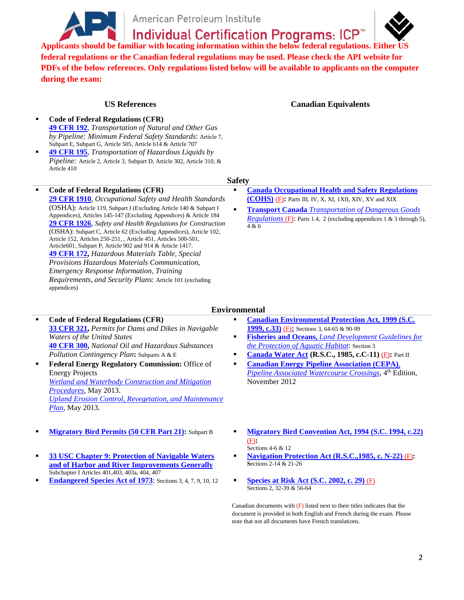

American Petroleum Institute

**Individual Certification Programs: ICP™** 

**Applicants should be familiar with locating information within the below federal regulations. Either US federal regulations or the Canadian federal regulations may be used. Please check the API website for PDFs of the below references. Only regulations listed below will be available to applicants on the computer during the exam:**

- **Code of Federal Regulations (CFR) [49 CFR 192](http://www.api.org/%7E/media/Files/Certification/ICP/ICP-Certification-Programs/1169_2017_GovRefDocs/1169_USA_49-CFR-192_Eff-04-2017.pdf)**, *Transportation of Natural and Other Gas by Pipeline: Minimum Federal Safety Standards*: Article 7, Subpart E, Subpart G, Article 505, Article 614 & Article 707
- **[49 CFR 195](http://www.api.org/%7E/media/Files/Certification/ICP/ICP-Certification-Programs/1169_2017_GovRefDocs/1169_USA_49-CFR-195_Eff-04-2017.pdf)**, *Transportation of Hazardous Liquids by Pipeline:* Article 2, Article 3, Subpart D, Article 302, Article 310, & Article 410
- **Code of Federal Regulations (CFR) [29 CFR 1910](http://www.api.org/%7E/media/Files/Certification/ICP/ICP-Certification-Programs/1169_2017_GovRefDocs/1169_USA_29-CFR-1910_OSHA_Eff-04-2017.pdf)**, *Occupational Safety and Health Standards*

(OSHA): Article 119, Subpart I (Excluding Article 140 & Subpart I Appendices), Articles 145-147 (Excluding Appendices) & Article 184 **[29 CFR 1926](http://www.api.org/%7E/media/Files/Certification/ICP/ICP-Certification-Programs/1169_2017_GovRefDocs/1169_USA_29-CFR-1926_OSHA_Eff-04-2017.pdf)**, *Safety and Health Regulations for Construction* (OSHA): Subpart C, Article 62 (Excluding Appendices), Article 102, Article 152, Articles 250-251, , Article 451, Articles 500-501, Article601, Subpart P, Article 902 and 914 & Article 1417. **[49 CFR 172,](http://www.api.org/%7E/media/Files/Certification/ICP/ICP-Certification-Programs/1169_2017_GovRefDocs/1169_USA_49-CFR-172_Eff-04-2017.pdf)** *Hazardous Materials Table, Special Provisions Hazardous Materials Communication, Emergency Response Information, Training Requirements, and Security Plans*: Article 101 (excluding appendices)

**US References Canadian Equivalents**

#### **Safety**

- **[Canada Occupational Health and Safety Regulations](http://www.api.org/%7E/media/Files/Certification/ICP/ICP-Certification-Programs/1169_2017_GovRefDocs/1169_Canada_SOR-86-304_OccupHealthSafetyReg_SOR86-304_eff-04-2017.pdf)  [\(COHS\)](http://www.api.org/%7E/media/Files/Certification/ICP/ICP-Certification-Programs/1169_2017_GovRefDocs/1169_Canada_SOR-86-304_OccupHealthSafetyReg_SOR86-304_eff-04-2017.pdf)** (F)**:** Parts III, IV, X, XI, 1XII, XIV, XV and XIX
- **Transport Canada** *[Transportation of Dangerous Goods](http://www.api.org/%7E/media/Files/Certification/ICP/ICP-Certification-Programs/1169_2017_GovRefDocs/1169_Canada_TransportDangerousGoods_Eff-04-2017.pdf)  [Regulations](http://www.api.org/%7E/media/Files/Certification/ICP/ICP-Certification-Programs/1169_2017_GovRefDocs/1169_Canada_TransportDangerousGoods_Eff-04-2017.pdf)* (F): Parts 1.4, 2 (excluding appendices 1 & 3 through 5), 4 & 6

### **Environmental**

- **Code of Federal Regulations (CFR) [33 CFR 321,](http://www.api.org/%7E/media/Files/Certification/ICP/ICP-Certification-Programs/1169_2017_GovRefDocs/1169_USA_33-CFR-321_Eff-04-2017.pdf)** *Permits for Dams and Dikes in Navigable Waters of the United States* **[40 CFR 300,](http://www.api.org/%7E/media/Files/Certification/ICP/ICP-Certification-Programs/1169_2017_GovRefDocs/1169_USA_40-CFR-300_Eff-04-2017.pdf)** *National Oil and Hazardous Substances Pollution Contingency Plan***:** Subparts A & E **Federal Energy Regulatory Commission:** Office of
- Energy Projects *[Wetland and Waterbody Construction and Mitigation](http://www.api.org/%7E/media/Files/Certification/ICP/ICP-Certification-Programs/1169_2017_GovRefDocs/1169_USA_FERC_WetlandWaterbodyConstrMitigation_Eff-04-2017.pdf)  [Procedures,](http://www.api.org/%7E/media/Files/Certification/ICP/ICP-Certification-Programs/1169_2017_GovRefDocs/1169_USA_FERC_WetlandWaterbodyConstrMitigation_Eff-04-2017.pdf)* May 2013. *[Upland Erosion Control, Revegetation, and Maintenance](http://www.api.org/%7E/media/Files/Certification/ICP/ICP-Certification-Programs/1169_2017_GovRefDocs/1169_USA_FERC_UplandErosionRevegetation_Eff-04-2017.pdf)  [Plan,](http://www.api.org/%7E/media/Files/Certification/ICP/ICP-Certification-Programs/1169_2017_GovRefDocs/1169_USA_FERC_UplandErosionRevegetation_Eff-04-2017.pdf)* May 2013.
- 
- **[33 USC Chapter 9: Protection of Navigable Waters](http://www.api.org/%7E/media/Files/Certification/ICP/ICP-Certification-Programs/1169_2017_GovRefDocs/1169_USA_33-USC-Ch-9_Eff-04-2017.pdf)  [and of Harbor and River Improvements Generally](http://www.api.org/%7E/media/Files/Certification/ICP/ICP-Certification-Programs/1169_2017_GovRefDocs/1169_USA_33-USC-Ch-9_Eff-04-2017.pdf)**  Subchapter I Articles 401,403, 403a, 404, 407
- **[Endangered Species Act of 1973](http://www.api.org/%7E/media/Files/Certification/ICP/ICP-Certification-Programs/1169_2017_GovRefDocs/1169_USA_EndangeredSpeciesAct1973_Eff-04-2017.pdf)**: Sections 3, 4, 7, 9, 10, 12 **[Species at Risk Act \(S.C. 2002, c. 29\)](http://www.api.org/%7E/media/Files/Certification/ICP/ICP-Certification-Programs/1169_2017_GovRefDocs/1169_Canada_SpeciesAtRiskAct-SC2002-c29_eff-04-2017.pdf)** (F)
- **[Canadian Environmental Protection Act, 1999 \(S.C.](http://www.api.org/%7E/media/Files/Certification/ICP/ICP-Certification-Programs/1169_2017_GovRefDocs/1169_Canada_EnvironmentalProtectAct_SC1999-c33_eff-04-2017.pdf)  [1999, c.33\)](http://www.api.org/%7E/media/Files/Certification/ICP/ICP-Certification-Programs/1169_2017_GovRefDocs/1169_Canada_EnvironmentalProtectAct_SC1999-c33_eff-04-2017.pdf)** (F)**:** Sections 3, 64-65 & 90-99
- **Fisheries and Oceans,** *[Land Development Guidelines for](http://www.api.org/%7E/media/Files/Certification/ICP/ICP-Certification-Programs/1169_2017_GovRefDocs/1169_Canada_FisheriesOceansLandDevelop_eff-04-2017.pdf)  the Protection [of Aquatic Habitat](http://www.api.org/%7E/media/Files/Certification/ICP/ICP-Certification-Programs/1169_2017_GovRefDocs/1169_Canada_FisheriesOceansLandDevelop_eff-04-2017.pdf)*: Section 3
- **[Canada Water Act](http://www.api.org/%7E/media/Files/Certification/ICP/ICP-Certification-Programs/1169_2017_GovRefDocs/1169_Canada_RSC-WaterAct_RSC1985-cC-11_eff-04-2017.pdf) (R.S.C., 1985, c.C-11)** (F)**:** Part II
- **[Canadian Energy Pipeline Association \(CEPA\)](http://www.api.org/%7E/media/Files/Certification/ICP/ICP-Certification-Programs/1169_2017_GovRefDocs/1169_Canada_CEPA-PipelineWatercourseCrossings_Eff-04-2017.pdf)***, [Pipeline Associated Watercourse Crossings](http://www.api.org/%7E/media/Files/Certification/ICP/ICP-Certification-Programs/1169_2017_GovRefDocs/1169_Canada_CEPA-PipelineWatercourseCrossings_Eff-04-2017.pdf)*, 4<sup>th</sup> Edition, November 2012
- **[Migratory Bird Permits \(50 CFR Part 21\):](http://www.api.org/%7E/media/Files/Certification/ICP/ICP-Certification-Programs/1169_2017_GovRefDocs/1169_USA_50-CFR-21_Eff-04-2017.pdf)** Subpart B **[Migratory Bird Convention Act, 1994 \(S.C. 1994, c.22\)](http://www.api.org/%7E/media/Files/Certification/ICP/ICP-Certification-Programs/1169_2017_GovRefDocs/1169_Canada_MigratoryBirdConventionAct_SC1994-c22_eff-04-2017.pdf)** (F)**:**
	- Sections 4-6 & 12
	- **[Navigation Protection Act \(R.S.C.,1985, c. N-22\)](http://www.api.org/%7E/media/Files/Certification/ICP/ICP-Certification-Programs/1169_2017_GovRefDocs/1169_Canada_NavigationProtectionAct_RSC195-cN-22_eff-04-2017.pdf)** (F)**: S**ections 2-14 & 21-26
	- Sections 2, 32-39 & 56-64

Canadian documents with  $(F)$  listed next to their titles indicates that the document is provided in both English and French during the exam. Please note that not all documents have French translations.